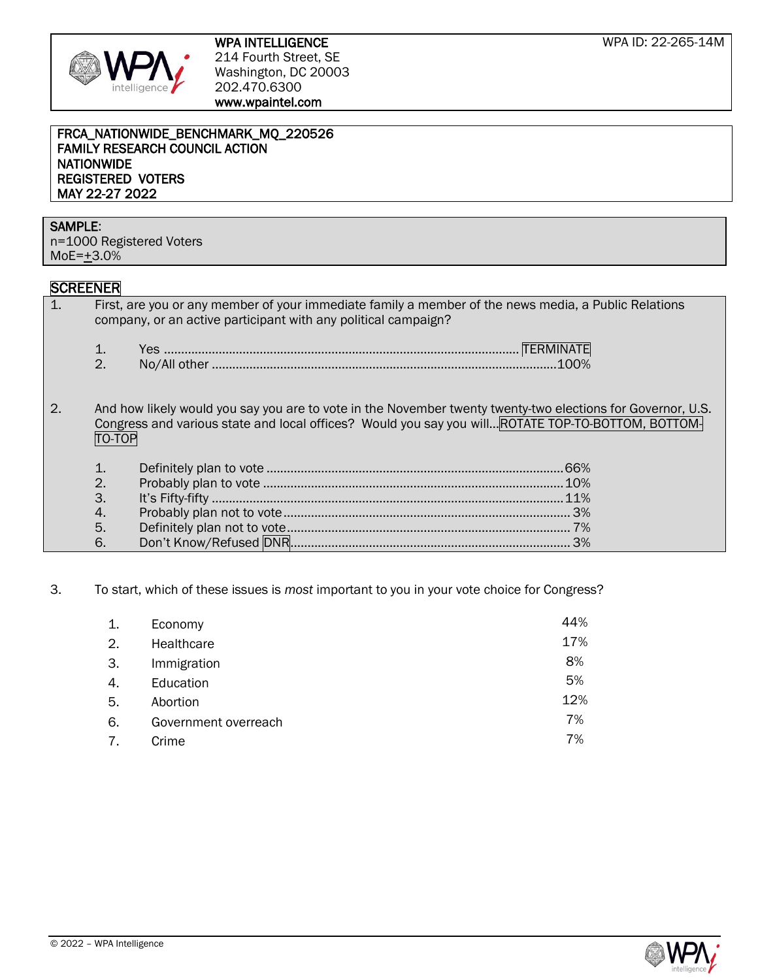

#### FRCA\_NATIONWIDE\_BENCHMARK\_MQ\_220526 FAMILY RESEARCH COUNCIL ACTION NATIONWIDE REGISTERED VOTERS MAY 22-27 2022

# SAMPLE:

n=1000 Registered Voters  $MoE=\pm 3.0%$ 

# **SCREENER**

| First, are you or any member of your immediate family a member of the news media, a Public Relations                                                                                                              |
|-------------------------------------------------------------------------------------------------------------------------------------------------------------------------------------------------------------------|
|                                                                                                                                                                                                                   |
| And how likely would you say you are to vote in the November twenty twenty-two elections for Governor, U.S.<br>Congress and various state and local offices? Would you say you will ROTATE TOP-TO-BOTTOM, BOTTOM- |
|                                                                                                                                                                                                                   |
|                                                                                                                                                                                                                   |
|                                                                                                                                                                                                                   |
|                                                                                                                                                                                                                   |
|                                                                                                                                                                                                                   |
|                                                                                                                                                                                                                   |
|                                                                                                                                                                                                                   |

# 3. To start, which of these issues is *most* important to you in your vote choice for Congress?

| Economy              | 44% |
|----------------------|-----|
| Healthcare           | 17% |
| Immigration          | 8%  |
| Education            | 5%  |
| Abortion             | 12% |
| Government overreach | 7%  |
| Crime                | 7%  |
|                      |     |

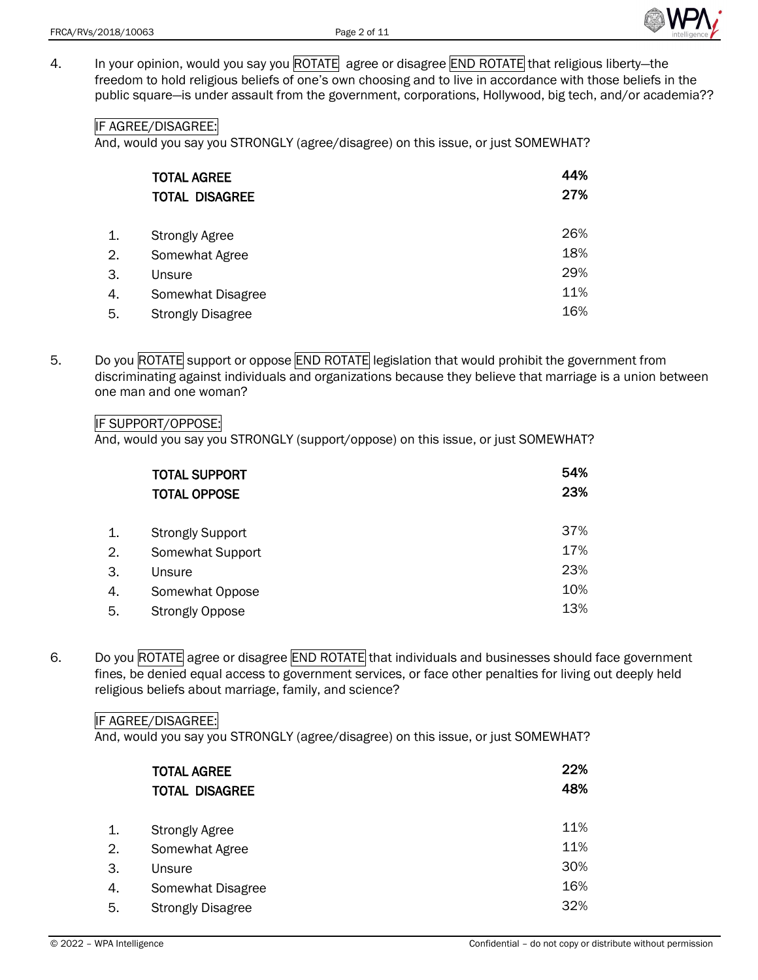

4. In your opinion, would you say you ROTATE agree or disagree END ROTATE that religious liberty-the freedom to hold religious beliefs of one's own choosing and to live in accordance with those beliefs in the public square—is under assault from the government, corporations, Hollywood, big tech, and/or academia??

# IF AGREE/DISAGREE:

And, would you say you STRONGLY (agree/disagree) on this issue, or just SOMEWHAT?

| <b>TOTAL AGREE</b>       | 44% |
|--------------------------|-----|
| <b>TOTAL DISAGREE</b>    | 27% |
|                          |     |
| <b>Strongly Agree</b>    | 26% |
| Somewhat Agree           | 18% |
| Unsure                   | 29% |
| Somewhat Disagree        | 11% |
| <b>Strongly Disagree</b> | 16% |
|                          |     |

5. Do you ROTATE support or oppose END ROTATE legislation that would prohibit the government from discriminating against individuals and organizations because they believe that marriage is a union between one man and one woman?

#### IF SUPPORT/OPPOSE:

And, would you say you STRONGLY (support/oppose) on this issue, or just SOMEWHAT?

|    | <b>TOTAL SUPPORT</b><br><b>TOTAL OPPOSE</b> | 54%<br>23% |
|----|---------------------------------------------|------------|
| 1. | <b>Strongly Support</b>                     | 37%        |
| 2. | Somewhat Support                            | 17%        |
| 3. | Unsure                                      | 23%        |
| 4. | Somewhat Oppose                             | 10%        |
| 5. | <b>Strongly Oppose</b>                      | 13%        |

6. Do you ROTATE agree or disagree END ROTATE that individuals and businesses should face government fines, be denied equal access to government services, or face other penalties for living out deeply held religious beliefs about marriage, family, and science?

#### IF AGREE/DISAGREE:

|    | <b>TOTAL AGREE</b><br><b>TOTAL DISAGREE</b> | 22%<br>48% |
|----|---------------------------------------------|------------|
| 1. | <b>Strongly Agree</b>                       | 11%        |
| 2. | Somewhat Agree                              | 11%        |
| 3. | Unsure                                      | 30%        |
| 4. | Somewhat Disagree                           | 16%        |
| 5. | <b>Strongly Disagree</b>                    | 32%        |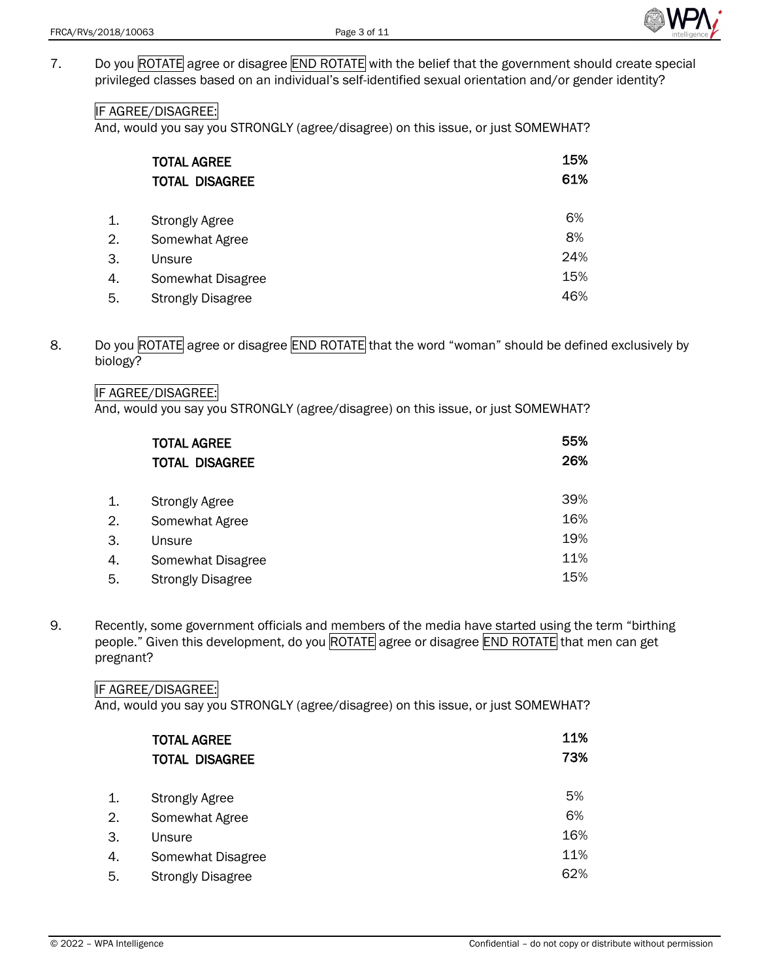

7. Do you ROTATE agree or disagree END ROTATE with the belief that the government should create special privileged classes based on an individual's self-identified sexual orientation and/or gender identity?

## IF AGREE/DISAGREE:

And, would you say you STRONGLY (agree/disagree) on this issue, or just SOMEWHAT?

|    | <b>TOTAL AGREE</b>       | 15% |
|----|--------------------------|-----|
|    | <b>TOTAL DISAGREE</b>    | 61% |
|    |                          | 6%  |
| 1. | <b>Strongly Agree</b>    |     |
| 2. | Somewhat Agree           | 8%  |
| З. | Unsure                   | 24% |
| 4. | Somewhat Disagree        | 15% |
| 5. | <b>Strongly Disagree</b> | 46% |

8. Do you ROTATE agree or disagree END ROTATE that the word "woman" should be defined exclusively by biology?

### IF AGREE/DISAGREE:

And, would you say you STRONGLY (agree/disagree) on this issue, or just SOMEWHAT?

|    | <b>TOTAL AGREE</b>       | 55% |
|----|--------------------------|-----|
|    | <b>TOTAL DISAGREE</b>    | 26% |
|    |                          |     |
| 1. | <b>Strongly Agree</b>    | 39% |
| 2. | Somewhat Agree           | 16% |
| 3. | Unsure                   | 19% |
| 4. | Somewhat Disagree        | 11% |
| 5. | <b>Strongly Disagree</b> | 15% |

9. Recently, some government officials and members of the media have started using the term "birthing people." Given this development, do you ROTATE agree or disagree END ROTATE that men can get pregnant?

#### IF AGREE/DISAGREE:

| <b>TOTAL AGREE</b><br><b>TOTAL DISAGREE</b> | 11%<br>73% |
|---------------------------------------------|------------|
| <b>Strongly Agree</b>                       | 5%         |
| Somewhat Agree                              | 6%         |
| Unsure                                      | 16%        |
| Somewhat Disagree                           | 11%        |
| <b>Strongly Disagree</b>                    | 62%        |
|                                             |            |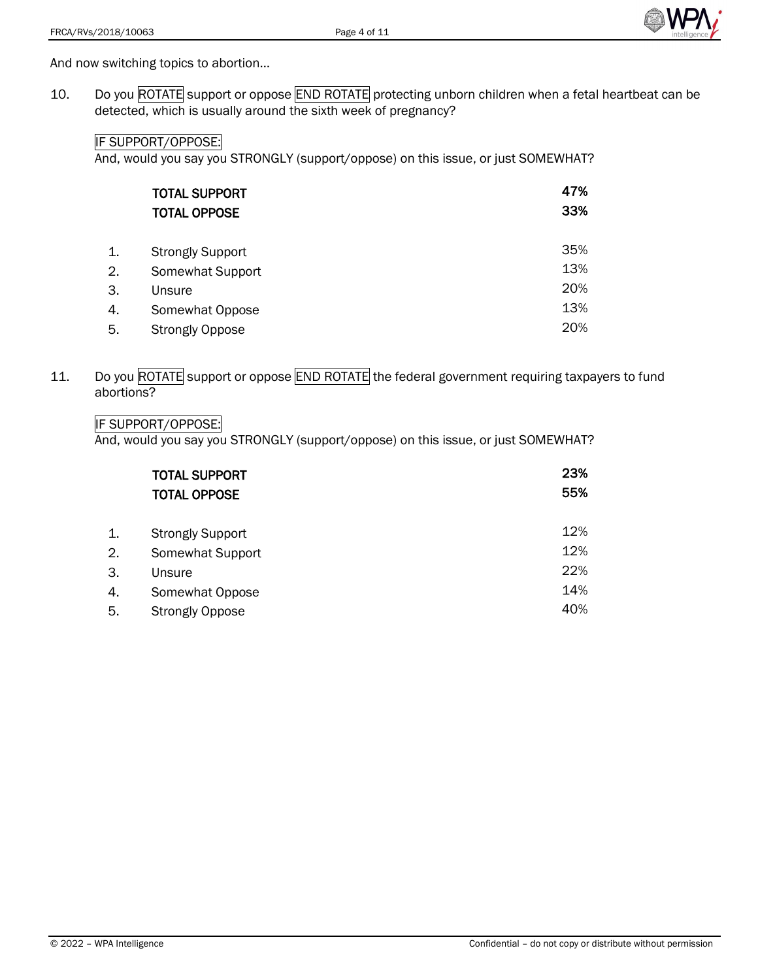

And now switching topics to abortion…

10. Do you ROTATE support or oppose END ROTATE protecting unborn children when a fetal heartbeat can be detected, which is usually around the sixth week of pregnancy?

## IF SUPPORT/OPPOSE:

And, would you say you STRONGLY (support/oppose) on this issue, or just SOMEWHAT?

| <b>TOTAL SUPPORT</b><br><b>TOTAL OPPOSE</b> | 47%<br>33% |
|---------------------------------------------|------------|
| <b>Strongly Support</b>                     | 35%        |
| Somewhat Support                            | 13%        |
| Unsure                                      | 20%        |
| Somewhat Oppose                             | 13%        |
| <b>Strongly Oppose</b>                      | 20%        |
|                                             |            |

11. Do you ROTATE support or oppose END ROTATE the federal government requiring taxpayers to fund abortions?

# IF SUPPORT/OPPOSE:

And, would you say you STRONGLY (support/oppose) on this issue, or just SOMEWHAT?

|    | <b>TOTAL SUPPORT</b><br><b>TOTAL OPPOSE</b> | 23%<br>55% |
|----|---------------------------------------------|------------|
| 1. | <b>Strongly Support</b>                     | 12%        |
| 2. | Somewhat Support                            | 12%        |
| 3. | Unsure                                      | 22%        |
| 4. | Somewhat Oppose                             | 14%        |
| 5. | <b>Strongly Oppose</b>                      | 40%        |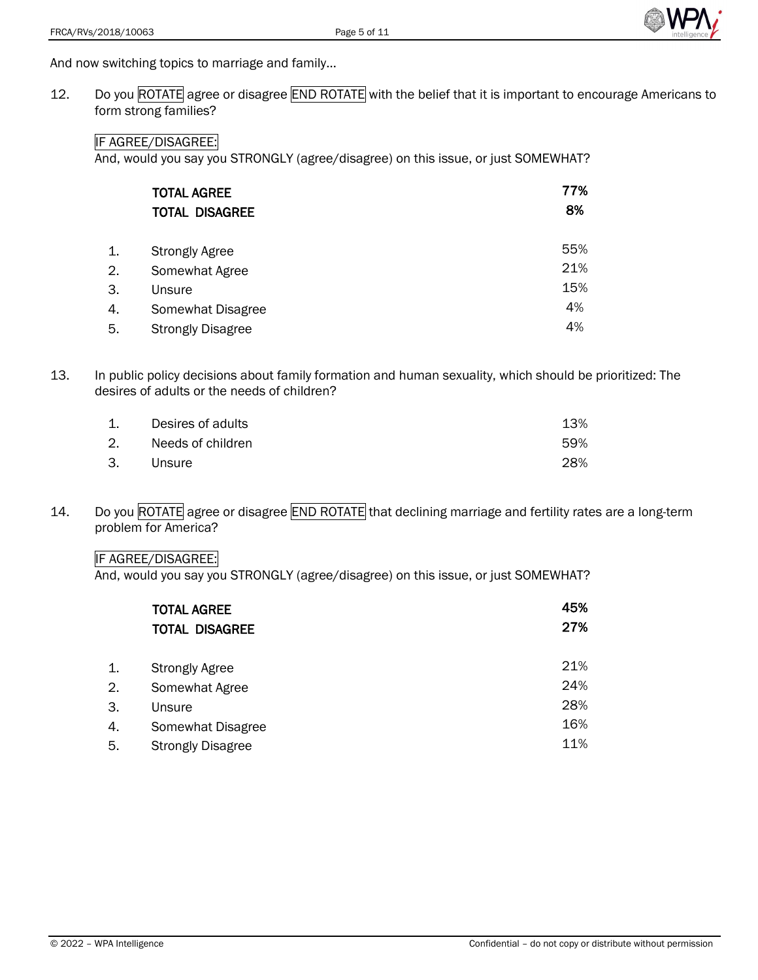

And now switching topics to marriage and family…

12. Do you ROTATE agree or disagree END ROTATE with the belief that it is important to encourage Americans to form strong families?

#### IF AGREE/DISAGREE:

And, would you say you STRONGLY (agree/disagree) on this issue, or just SOMEWHAT?

| <b>TOTAL AGREE</b><br><b>TOTAL DISAGREE</b> | 77%<br>8% |
|---------------------------------------------|-----------|
| <b>Strongly Agree</b>                       | 55%       |
| Somewhat Agree                              | 21%       |
| Unsure                                      | 15%       |
| Somewhat Disagree                           | 4%        |
| <b>Strongly Disagree</b>                    | 4%        |
|                                             |           |

13. In public policy decisions about family formation and human sexuality, which should be prioritized: The desires of adults or the needs of children?

| 1. | Desires of adults | 13% |
|----|-------------------|-----|
| 2. | Needs of children | 59% |
| 3. | Unsure            | 28% |

14. Do you ROTATE agree or disagree END ROTATE that declining marriage and fertility rates are a long-term problem for America?

### IF AGREE/DISAGREE:

|    | <b>TOTAL AGREE</b><br><b>TOTAL DISAGREE</b> | 45%<br>27% |
|----|---------------------------------------------|------------|
| 1. | <b>Strongly Agree</b>                       | 21%        |
| 2. | Somewhat Agree                              | 24%        |
| 3. | Unsure                                      | 28%        |
| 4. | Somewhat Disagree                           | 16%        |
| 5. | <b>Strongly Disagree</b>                    | 11%        |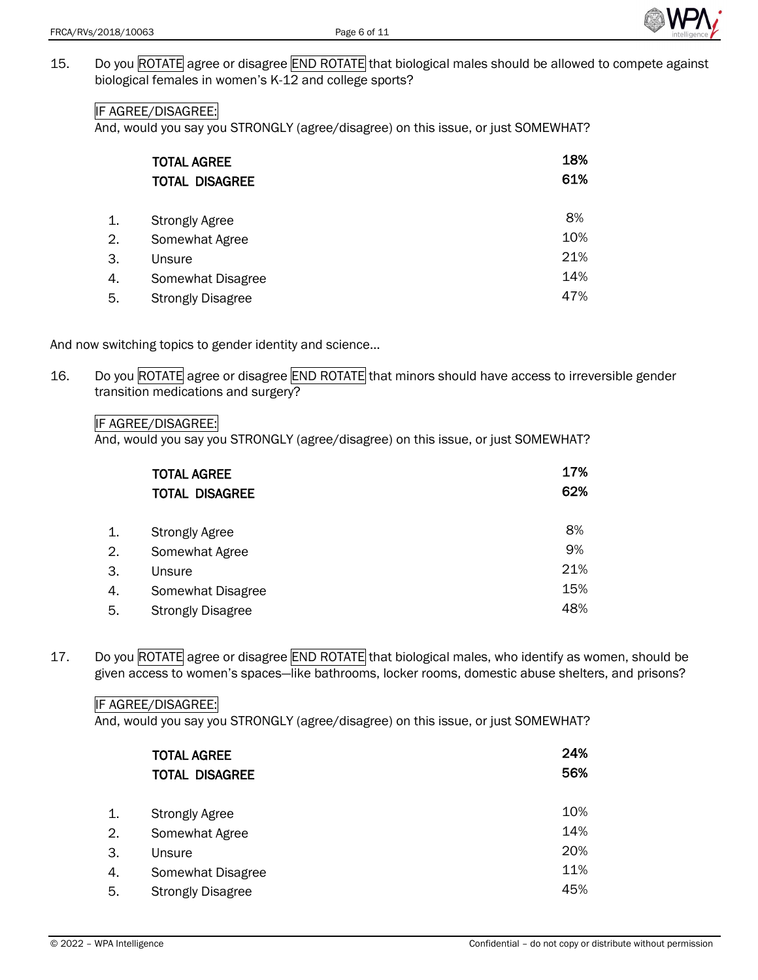

15. Do you ROTATE agree or disagree END ROTATE that biological males should be allowed to compete against biological females in women's K-12 and college sports?

## IF AGREE/DISAGREE:

And, would you say you STRONGLY (agree/disagree) on this issue, or just SOMEWHAT?

|    | <b>TOTAL AGREE</b>       | 18% |
|----|--------------------------|-----|
|    | <b>TOTAL DISAGREE</b>    | 61% |
|    |                          |     |
| 1. | <b>Strongly Agree</b>    | 8%  |
| 2. | Somewhat Agree           | 10% |
| З. | Unsure                   | 21% |
| 4. | Somewhat Disagree        | 14% |
| 5. | <b>Strongly Disagree</b> | 47% |

And now switching topics to gender identity and science…

16. Do you ROTATE agree or disagree END ROTATE that minors should have access to irreversible gender transition medications and surgery?

IF AGREE/DISAGREE:

And, would you say you STRONGLY (agree/disagree) on this issue, or just SOMEWHAT?

|    | <b>TOTAL AGREE</b><br><b>TOTAL DISAGREE</b> | 17%<br>62% |
|----|---------------------------------------------|------------|
| 1. | <b>Strongly Agree</b>                       | 8%         |
| 2. | Somewhat Agree                              | 9%         |
| 3. | Unsure                                      | 21%        |
| 4. | Somewhat Disagree                           | 15%        |
| 5. | <b>Strongly Disagree</b>                    | 48%        |

17. Do you ROTATE agree or disagree END ROTATE that biological males, who identify as women, should be given access to women's spaces—like bathrooms, locker rooms, domestic abuse shelters, and prisons?

#### IF AGREE/DISAGREE:

|    | <b>TOTAL AGREE</b><br><b>TOTAL DISAGREE</b> | 24%<br>56% |
|----|---------------------------------------------|------------|
| 1. | <b>Strongly Agree</b>                       | 10%        |
| 2. | Somewhat Agree                              | 14%        |
| 3. | Unsure                                      | 20%        |
| 4. | Somewhat Disagree                           | 11%        |
| 5. | <b>Strongly Disagree</b>                    | 45%        |
|    |                                             |            |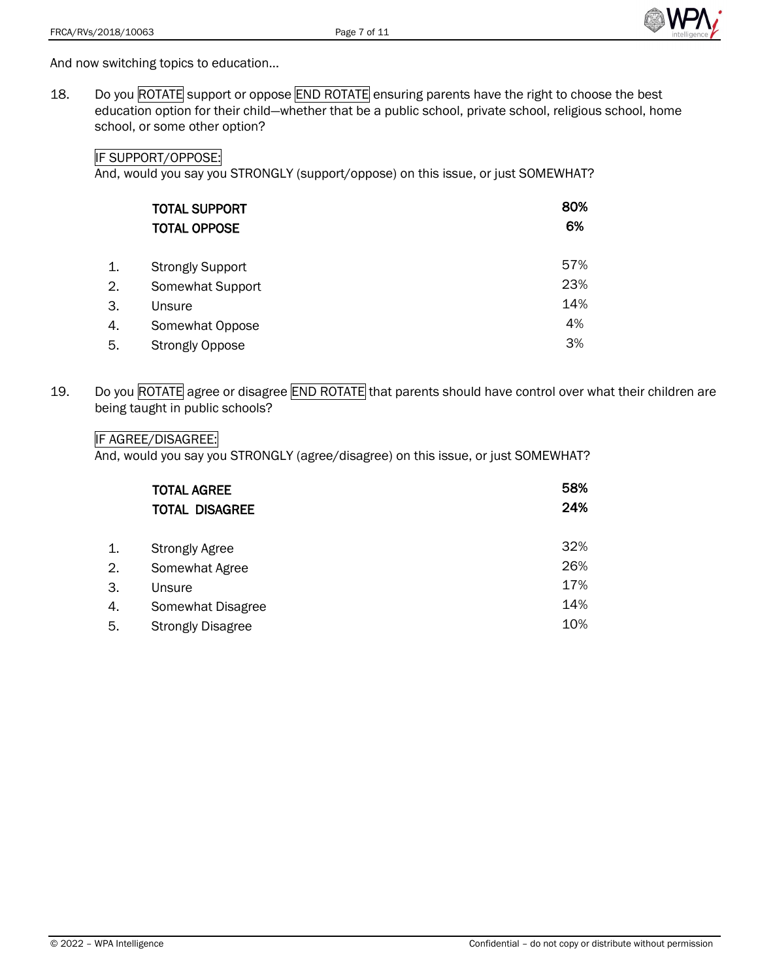

And now switching topics to education…

18. Do you ROTATE support or oppose END ROTATE ensuring parents have the right to choose the best education option for their child—whether that be a public school, private school, religious school, home school, or some other option?

## IF SUPPORT/OPPOSE:

And, would you say you STRONGLY (support/oppose) on this issue, or just SOMEWHAT?

|    | <b>TOTAL SUPPORT</b><br><b>TOTAL OPPOSE</b> | 80%<br>6% |
|----|---------------------------------------------|-----------|
| 1. | <b>Strongly Support</b>                     | 57%       |
| 2. | Somewhat Support                            | 23%       |
| 3. | Unsure                                      | 14%       |
| 4. | Somewhat Oppose                             | 4%        |
| 5. | <b>Strongly Oppose</b>                      | 3%        |

19. Do you ROTATE agree or disagree END ROTATE that parents should have control over what their children are being taught in public schools?

## IF AGREE/DISAGREE:

|    | <b>TOTAL AGREE</b>       | 58% |
|----|--------------------------|-----|
|    | <b>TOTAL DISAGREE</b>    | 24% |
|    |                          |     |
| 1. | <b>Strongly Agree</b>    | 32% |
| 2. | Somewhat Agree           | 26% |
| 3. | Unsure                   | 17% |
| 4. | Somewhat Disagree        | 14% |
| 5. | <b>Strongly Disagree</b> | 10% |
|    |                          |     |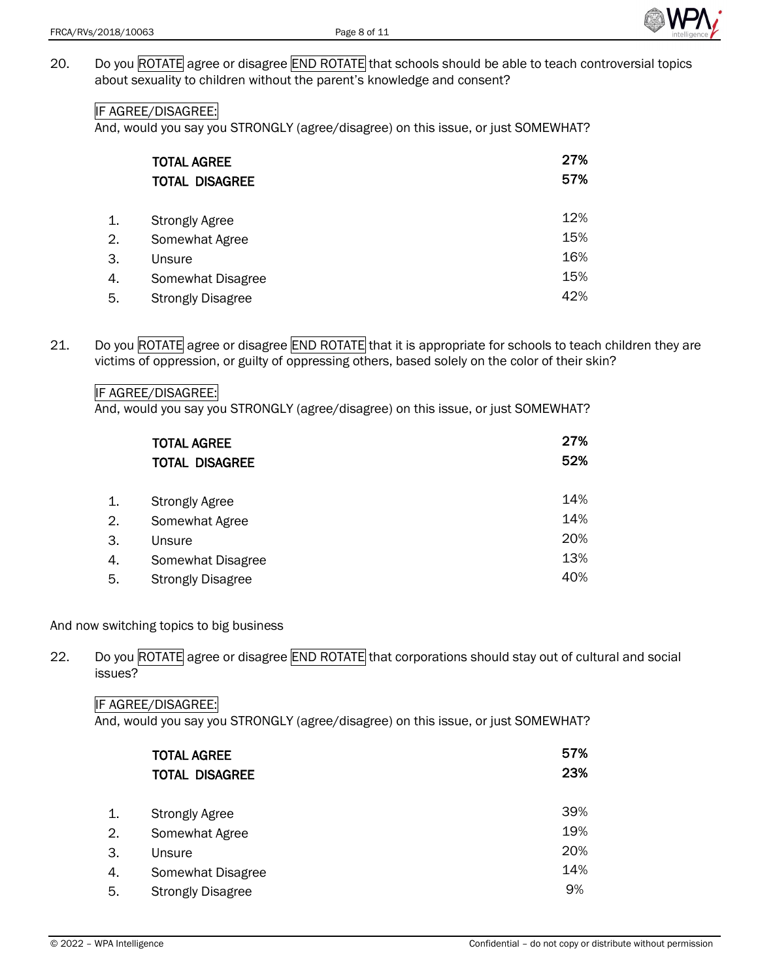

20. Do you ROTATE agree or disagree END ROTATE that schools should be able to teach controversial topics about sexuality to children without the parent's knowledge and consent?

# IF AGREE/DISAGREE:

And, would you say you STRONGLY (agree/disagree) on this issue, or just SOMEWHAT?

|    | <b>TOTAL AGREE</b><br><b>TOTAL DISAGREE</b> | 27%<br>57% |
|----|---------------------------------------------|------------|
|    |                                             |            |
| 1. | <b>Strongly Agree</b>                       | 12%        |
| 2. | Somewhat Agree                              | 15%        |
| 3. | Unsure                                      | 16%        |
| 4. | Somewhat Disagree                           | 15%        |
| 5. | <b>Strongly Disagree</b>                    | 42%        |

21. Do you ROTATE agree or disagree END ROTATE that it is appropriate for schools to teach children they are victims of oppression, or guilty of oppressing others, based solely on the color of their skin?

#### IF AGREE/DISAGREE:

And, would you say you STRONGLY (agree/disagree) on this issue, or just SOMEWHAT?

|    | <b>TOTAL AGREE</b>       | 27% |
|----|--------------------------|-----|
|    | <b>TOTAL DISAGREE</b>    | 52% |
|    |                          |     |
| 1. | <b>Strongly Agree</b>    | 14% |
| 2. | Somewhat Agree           | 14% |
| 3. | Unsure                   | 20% |
| 4. | Somewhat Disagree        | 13% |
| 5. | <b>Strongly Disagree</b> | 40% |

# And now switching topics to big business

22. Do you ROTATE agree or disagree END ROTATE that corporations should stay out of cultural and social issues?

#### IF AGREE/DISAGREE:

|    | <b>TOTAL AGREE</b><br><b>TOTAL DISAGREE</b> | 57%<br>23% |
|----|---------------------------------------------|------------|
| 1. | <b>Strongly Agree</b>                       | 39%        |
| 2. | Somewhat Agree                              | 19%        |
| 3. | Unsure                                      | 20%        |
| 4. | Somewhat Disagree                           | 14%        |
| 5. | <b>Strongly Disagree</b>                    | 9%         |
|    |                                             |            |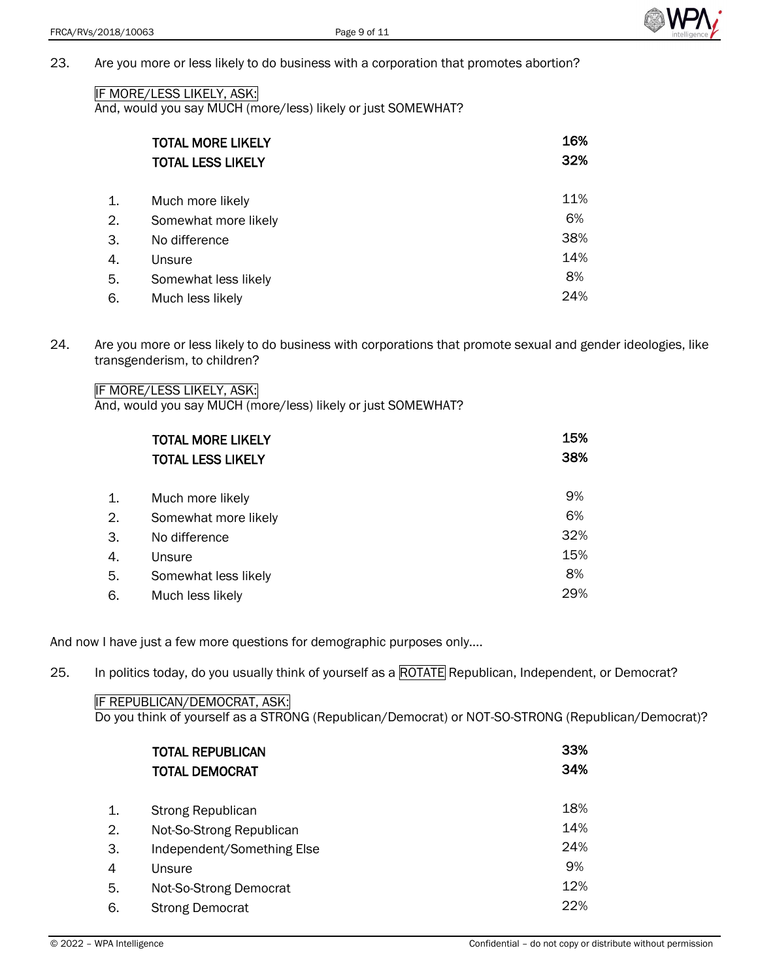

23. Are you more or less likely to do business with a corporation that promotes abortion?

#### IF MORE/LESS LIKELY, ASK:

And, would you say MUCH (more/less) likely or just SOMEWHAT?

|    | <b>TOTAL MORE LIKELY</b><br><b>TOTAL LESS LIKELY</b> | 16% |
|----|------------------------------------------------------|-----|
|    |                                                      | 32% |
| 1. | Much more likely                                     | 11% |
| 2. | Somewhat more likely                                 | 6%  |
| 3. | No difference                                        | 38% |
| 4. | Unsure                                               | 14% |
| 5. | Somewhat less likely                                 | 8%  |
| 6. | Much less likely                                     | 24% |

24. Are you more or less likely to do business with corporations that promote sexual and gender ideologies, like transgenderism, to children?

IF MORE/LESS LIKELY, ASK:

And, would you say MUCH (more/less) likely or just SOMEWHAT?

|    | <b>TOTAL MORE LIKELY</b> | 15% |
|----|--------------------------|-----|
|    | <b>TOTAL LESS LIKELY</b> | 38% |
| 1. | Much more likely         | 9%  |
| 2. | Somewhat more likely     | 6%  |
| 3. | No difference            | 32% |
| 4. | Unsure                   | 15% |
| 5. | Somewhat less likely     | 8%  |
| 6. | Much less likely         | 29% |

And now I have just a few more questions for demographic purposes only….

25. In politics today, do you usually think of yourself as a ROTATE Republican, Independent, or Democrat?

#### IF REPUBLICAN/DEMOCRAT, ASK:

Do you think of yourself as a STRONG (Republican/Democrat) or NOT-SO-STRONG (Republican/Democrat)?

|    | <b>TOTAL REPUBLICAN</b>    | 33% |
|----|----------------------------|-----|
|    | <b>TOTAL DEMOCRAT</b>      | 34% |
|    |                            |     |
| 1. | <b>Strong Republican</b>   | 18% |
| 2. | Not-So-Strong Republican   | 14% |
| 3. | Independent/Something Else | 24% |
| 4  | Unsure                     | 9%  |
| 5. | Not-So-Strong Democrat     | 12% |
| 6. | <b>Strong Democrat</b>     | 22% |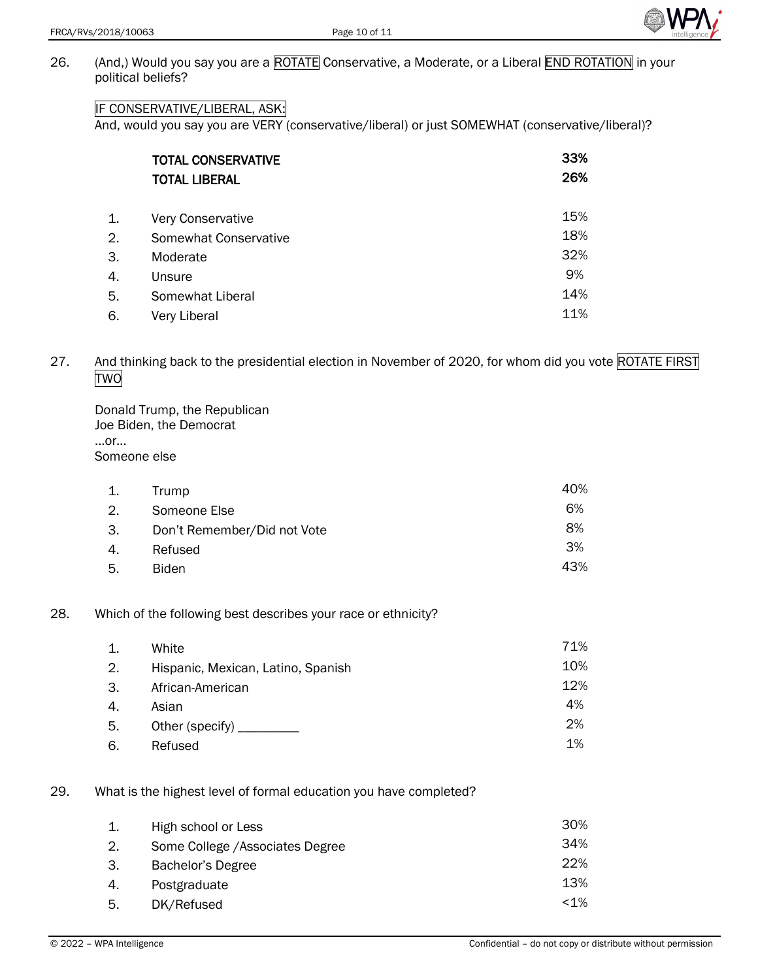

26. (And,) Would you say you are a ROTATE Conservative, a Moderate, or a Liberal END ROTATION in your political beliefs?

# IF CONSERVATIVE/LIBERAL, ASK:

And, would you say you are VERY (conservative/liberal) or just SOMEWHAT (conservative/liberal)?

|    | <b>TOTAL CONSERVATIVE</b> | 33% |
|----|---------------------------|-----|
|    | <b>TOTAL LIBERAL</b>      | 26% |
| 1. | Very Conservative         | 15% |
| 2. | Somewhat Conservative     | 18% |
| 3. | Moderate                  | 32% |
| 4. | Unsure                    | 9%  |
| 5. | Somewhat Liberal          | 14% |
| 6. | Very Liberal              | 11% |

27. And thinking back to the presidential election in November of 2020, for whom did you vote ROTATE FIRST TWO

| Donald Trump, the Republican |
|------------------------------|
| Joe Biden, the Democrat      |
| or                           |
| Someone else                 |

|     | Trump                       | 40% |
|-----|-----------------------------|-----|
| 2.  | Someone Else                | 6%  |
| -3. | Don't Remember/Did not Vote | 8%  |
| 4.  | Refused                     | 3%  |
| 5.  | <b>Biden</b>                | 43% |

28. Which of the following best describes your race or ethnicity?

| $\mathbf{1}$ . | White                              | 71% |
|----------------|------------------------------------|-----|
| 2.             | Hispanic, Mexican, Latino, Spanish | 10% |
| 3.             | African-American                   | 12% |
| 4.             | Asian                              | 4%  |
| 5.             | Other (specify) __________         | 2%  |
| 6.             | Refused                            | 1%  |

# 29. What is the highest level of formal education you have completed?

|    | High school or Less              | 30%     |
|----|----------------------------------|---------|
| 2. | Some College / Associates Degree | 34%     |
| З. | Bachelor's Degree                | 22%     |
| 4. | Postgraduate                     | 13%     |
| 5. | DK/Refused                       | $< 1\%$ |